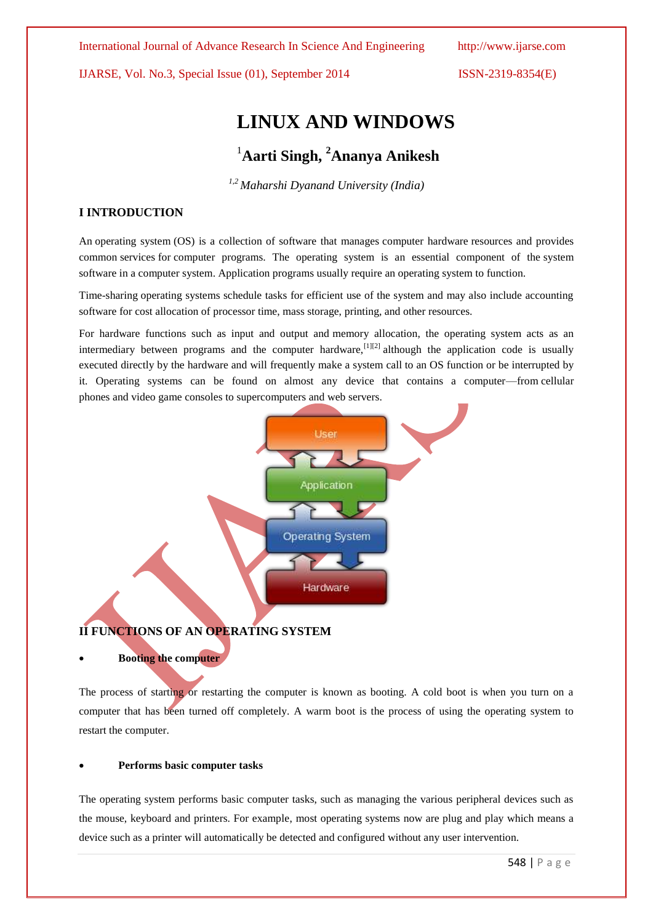International Journal of Advance Research In Science And Engineering http://www.ijarse.com

IJARSE, Vol. No.3, Special Issue (01), September 2014 ISSN-2319-8354(E)

# **LINUX AND WINDOWS**

# <sup>1</sup>**Aarti Singh, <sup>2</sup>Ananya Anikesh**

*1,2 Maharshi Dyanand University (India)*

### **I INTRODUCTION**

An operating system (OS) is a collection of software that manages [computer hardware](http://en.wikipedia.org/wiki/Computer_hardware) resources and provides common [services](http://en.wikipedia.org/wiki/Operating_system_services) for [computer programs.](http://en.wikipedia.org/wiki/Computer_program) The operating system is an essential component of the [system](http://en.wikipedia.org/wiki/System_software)  [software](http://en.wikipedia.org/wiki/System_software) in a computer system. Application programs usually require an operating system to function.

Time-sharing operating systems schedule tasks for efficient use of the system and may also include accounting software for cost allocation of processor time, mass storage, printing, and other resources.

For hardware functions such as input and output and [memory allocation,](http://en.wikipedia.org/wiki/Dynamic_memory_allocation) the operating system acts as an intermediary between programs and the computer hardware[,](http://en.wikipedia.org/wiki/Operating_system#cite_note-1)  $\left[1\right]$ [2] although the application code is usually executed directly by the hardware and will frequently make a [system call](http://en.wikipedia.org/wiki/System_call) to an OS function or be interrupted by it. Operating systems can be found on almost any device that contains a computer—from [cellular](http://en.wikipedia.org/wiki/Cellular_phone)  [phones](http://en.wikipedia.org/wiki/Cellular_phone) and [video game consoles](http://en.wikipedia.org/wiki/Video_game_console) to [supercomputers](http://en.wikipedia.org/wiki/Supercomputer) and [web servers.](http://en.wikipedia.org/wiki/Web_server)



## **II FUNCTIONS OF AN OPERATING SYSTEM**

#### **Booting the computer**

The process of starting or restarting the computer is known as booting. A cold boot is when you turn on a computer that has been turned off completely. A warm boot is the process of using the operating system to restart the computer.

#### **Performs basic computer tasks**

The operating system performs basic computer tasks, such as managing the various peripheral devices such as the mouse, keyboard and printers. For example, most operating systems now are plug and play which means a device such as a printer will automatically be detected and configured without any user intervention.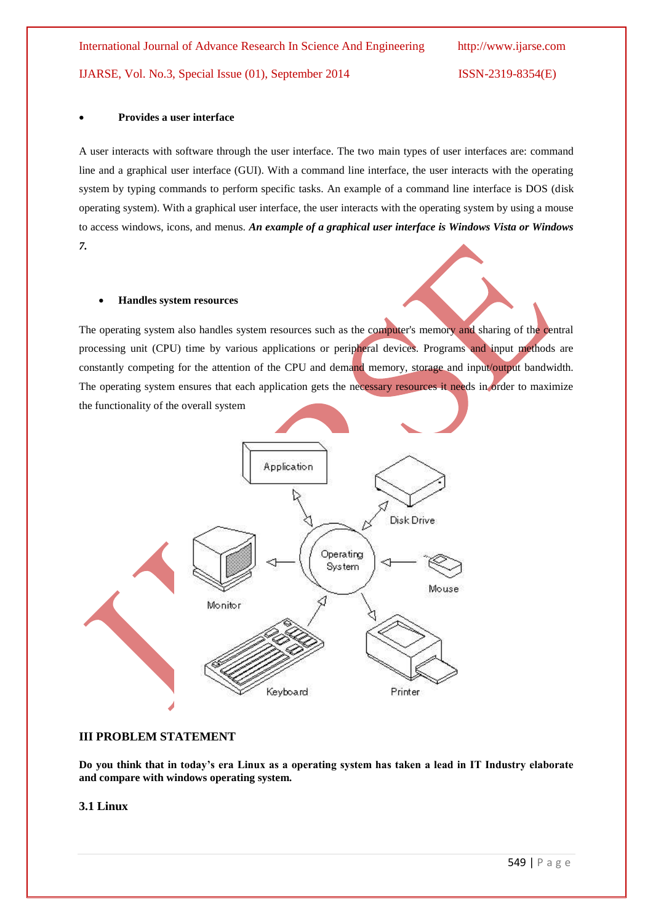#### **Provides a user interface**

A user interacts with software through the user interface. The two main types of user interfaces are: command line and a graphical user interface (GUI). With a command line interface, the user interacts with the operating system by typing commands to perform specific tasks. An example of a command line interface is DOS (disk operating system). With a graphical user interface, the user interacts with the operating system by using a mouse to access windows, icons, and menus. *An example of a graphical user interface is Windows Vista or Windows 7.*

#### **Handles system resources**

The operating system also handles system resources such as the computer's memory and sharing of the central processing unit (CPU) time by various applications or peripheral devices. Programs and input methods are constantly competing for the attention of the CPU and demand memory, storage and input/output bandwidth. The operating system ensures that each application gets the necessary resources it needs in order to maximize the functionality of the overall system



#### **III PROBLEM STATEMENT**

**Do you think that in today's era Linux as a operating system has taken a lead in IT Industry elaborate and compare with windows operating system.**

#### **3.1 Linux**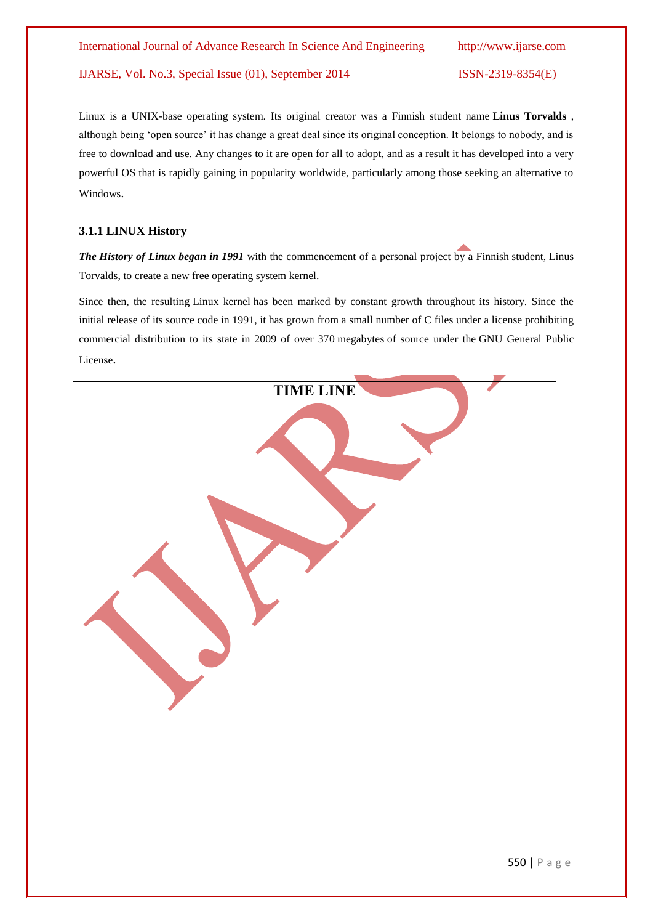Linux is a UNIX-base operating system. Its original creator was a Finnish student name **Linus [Torvalds](http://en.wikipedia.org/wiki/Linus_Torvalds)** , although being 'open source' it has change a great deal since its original conception. It belongs to nobody, and is free to download and use. Any changes to it are open for all to adopt, and as a result it has developed into a very powerful OS that is rapidly gaining in popularity worldwide, particularly among those seeking an alternative to Windows.

#### **3.1.1 LINUX History**

*The History of Linux began in 1991* with the commencement of a personal project by a [Finnish](http://en.wikipedia.org/wiki/Finland) student, [Linus](http://en.wikipedia.org/wiki/Linus_Torvalds)  [Torvalds,](http://en.wikipedia.org/wiki/Linus_Torvalds) to create a new free operating system kernel.

Since then, the resulting [Linux kernel](http://en.wikipedia.org/wiki/Linux_kernel) has been marked by constant growth throughout its history. Since the initial release of its [source code](http://en.wikipedia.org/wiki/Source_code) in 1991, it has grown from a small number of [C](http://en.wikipedia.org/wiki/C_Programming_Language) files under a license prohibiting commercial distribution to its state in 2009 of over 370 [megabytes](http://en.wikipedia.org/wiki/Megabyte) of source under the [GNU General Public](http://en.wikipedia.org/wiki/GNU_General_Public_License)  [License](http://en.wikipedia.org/wiki/GNU_General_Public_License).

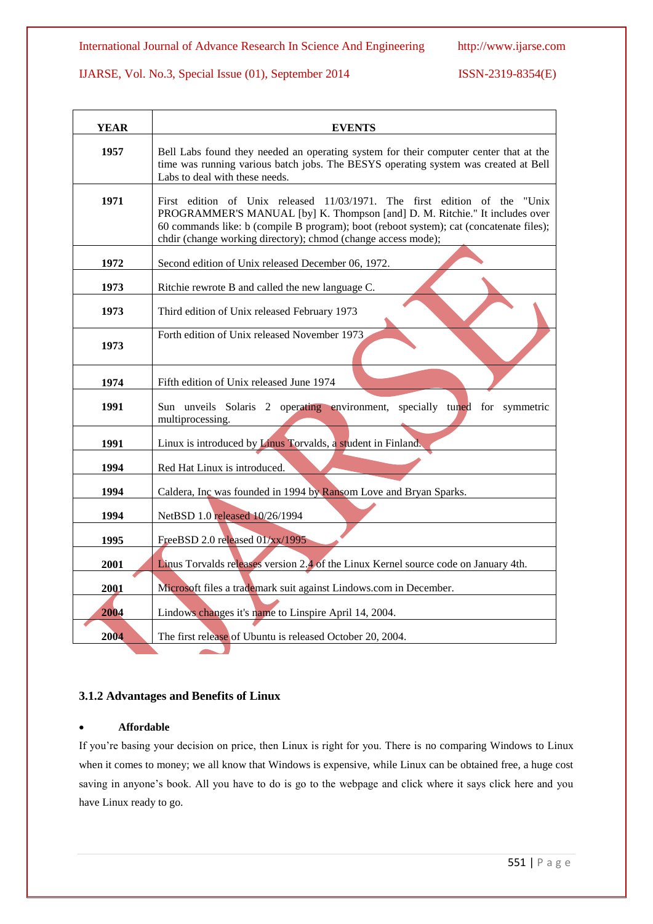| <b>YEAR</b> | <b>EVENTS</b>                                                                                                                                                                                                                                                                                                         |  |  |
|-------------|-----------------------------------------------------------------------------------------------------------------------------------------------------------------------------------------------------------------------------------------------------------------------------------------------------------------------|--|--|
| 1957        | Bell Labs found they needed an operating system for their computer center that at the<br>time was running various batch jobs. The BESYS operating system was created at Bell<br>Labs to deal with these needs.                                                                                                        |  |  |
| 1971        | First edition of Unix released 11/03/1971. The first edition of the "Unix"<br>PROGRAMMER'S MANUAL [by] K. Thompson [and] D. M. Ritchie." It includes over<br>60 commands like: b (compile B program); boot (reboot system); cat (concatenate files);<br>chdir (change working directory); chmod (change access mode); |  |  |
| 1972        | Second edition of Unix released December 06, 1972.                                                                                                                                                                                                                                                                    |  |  |
| 1973        | Ritchie rewrote B and called the new language C.                                                                                                                                                                                                                                                                      |  |  |
| 1973        | Third edition of Unix released February 1973                                                                                                                                                                                                                                                                          |  |  |
| 1973        | Forth edition of Unix released November 1973                                                                                                                                                                                                                                                                          |  |  |
| 1974        | Fifth edition of Unix released June 1974                                                                                                                                                                                                                                                                              |  |  |
| 1991        | Sun unveils Solaris 2 operating environment, specially tuned for symmetric<br>multiprocessing.                                                                                                                                                                                                                        |  |  |
| 1991        | Linux is introduced by Linus Torvalds, a student in Finland.                                                                                                                                                                                                                                                          |  |  |
| 1994        | Red Hat Linux is introduced.                                                                                                                                                                                                                                                                                          |  |  |
| 1994        | Caldera, Inc was founded in 1994 by Ransom Love and Bryan Sparks.                                                                                                                                                                                                                                                     |  |  |
| 1994        | NetBSD 1.0 released 10/26/1994                                                                                                                                                                                                                                                                                        |  |  |
| 1995        | FreeBSD 2.0 released 01/xx/1995                                                                                                                                                                                                                                                                                       |  |  |
| 2001        | Linus Torvalds releases version 2.4 of the Linux Kernel source code on January 4th.                                                                                                                                                                                                                                   |  |  |
| 2001        | Microsoft files a trademark suit against Lindows.com in December.                                                                                                                                                                                                                                                     |  |  |
| 2004        | Lindows changes it's name to Linspire April 14, 2004.                                                                                                                                                                                                                                                                 |  |  |
| 2004        | The first release of Ubuntu is released October 20, 2004.                                                                                                                                                                                                                                                             |  |  |

## **3.1.2 Advantages and Benefits of Linux**

#### **Affordable**

If you're basing your decision on price, then Linux is right for you. There is no comparing Windows to Linux when it comes to money; we all know that Windows is expensive, while Linux can be obtained free, a huge cost saving in anyone's book. All you have to do is go to the webpage and click where it says click here and you have Linux ready to go.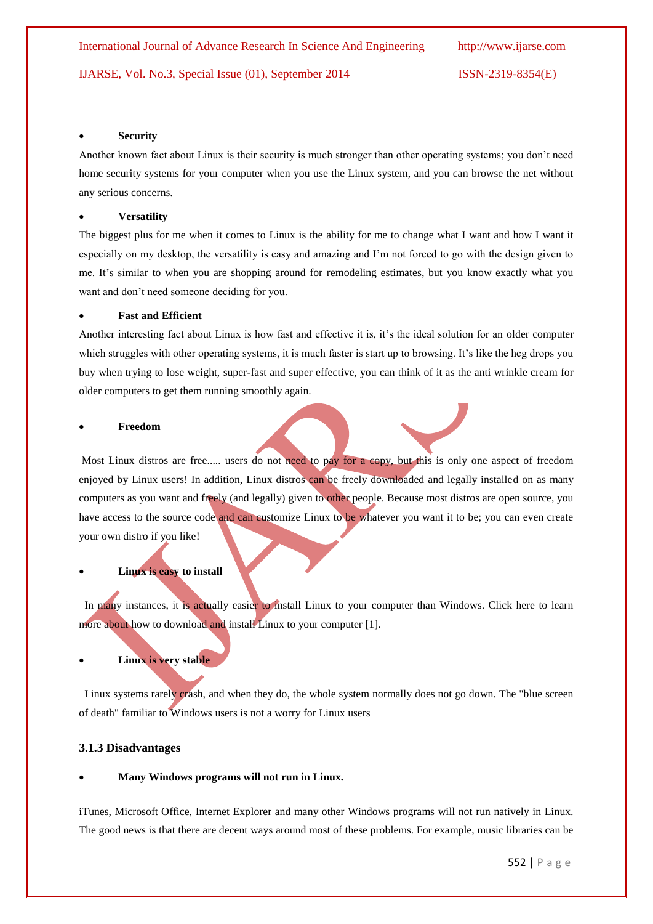#### **Security**

Another known fact about Linux is their security is much stronger than other operating systems; you don't need home security systems for your computer when you use the Linux system, and you can browse the net without any serious concerns.

#### **Versatility**

The biggest plus for me when it comes to Linux is the ability for me to change what I want and how I want it especially on my desktop, the versatility is easy and amazing and I'm not forced to go with the design given to me. It's similar to when you are shopping around for remodeling estimates, but you know exactly what you want and don't need someone deciding for you.

#### **Fast and Efficient**

Another interesting fact about Linux is how fast and effective it is, it's the ideal solution for an older computer which struggles with other operating systems, it is much faster is start up to browsing. It's like the hcg drops you buy when trying to lose weight, super-fast and super effective, you can think of it as the anti wrinkle cream for older computers to get them running smoothly again.

#### **Freedom**

Most Linux distros are free..... users do not need to pay for a copy, but this is only one aspect of freedom enjoyed by Linux users! In addition, Linux distros can be freely downloaded and legally installed on as many computers as you want and freely (and legally) given to other people. Because most distros are open source, you have access to the source code and can customize Linux to be whatever you want it to be; you can even create your own distro if you like!

# **Linux is easy to install**

In many instances, it is actually easier to install Linux to your computer than Windows. Click here to learn more about how to download and install Linux to your computer [1].

### **Linux is very stable**

Linux systems rarely crash, and when they do, the whole system normally does not go down. The "blue screen of death" familiar to Windows users is not a worry for Linux users

#### **3.1.3 Disadvantages**

#### **Many Windows programs will not run in Linux.**

iTunes, Microsoft Office, Internet Explorer and many other Windows programs will not run natively in Linux. The good news is that there are decent ways around most of these problems. For example, music libraries can be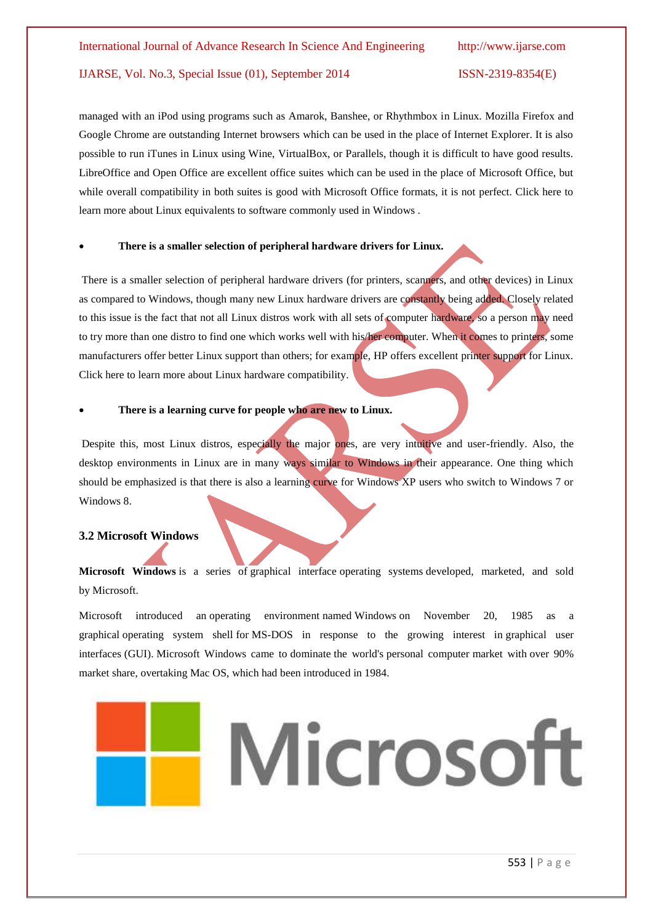managed with an iPod using programs such as Amarok, Banshee, or Rhythmbox in Linux. Mozilla Firefox and Google Chrome are outstanding Internet browsers which can be used in the place of Internet Explorer. It is also possible to run iTunes in Linux using Wine, VirtualBox, or Parallels, though it is difficult to have good results. LibreOffice and Open Office are excellent office suites which can be used in the place of Microsoft Office, but while overall compatibility in both suites is good with Microsoft Office formats, it is not perfect. Click here to learn more about Linux equivalents to software commonly used in Windows .

#### **There is a smaller selection of peripheral hardware drivers for Linux.**

There is a smaller selection of peripheral hardware drivers (for printers, scanners, and other devices) in Linux as compared to Windows, though many new Linux hardware drivers are constantly being added. Closely related to this issue is the fact that not all Linux distros work with all sets of computer hardware, so a person may need to try more than one distro to find one which works well with his/her computer. When it comes to printers, some manufacturers offer better Linux support than others; for example, HP offers excellent printer support for Linux. Click here to learn more about Linux hardware compatibility.

#### **There is a learning curve for people who are new to Linux.**

Despite this, most Linux distros, especially the major ones, are very intuitive and user-friendly. Also, the desktop environments in Linux are in many ways similar to Windows in their appearance. One thing which should be emphasized is that there is also a learning curve for Windows XP users who switch to Windows 7 or Windows 8

### **3.2 Microsoft Windows**

Microsoft Windows is a series of [graphical interface](http://en.wikipedia.org/wiki/Graphical_user_interface) [operating systems](http://en.wikipedia.org/wiki/Operating_system) developed, marketed, and sold by [Microsoft.](http://en.wikipedia.org/wiki/Microsoft)

Microsoft introduced an [operating environment](http://en.wikipedia.org/wiki/Operating_environment) named Windows on November 20, 1985 as a graphical [operating system shell](http://en.wikipedia.org/wiki/Operating_system_shell) for [MS-DOS](http://en.wikipedia.org/wiki/MS-DOS) in response to the growing interest in [graphical user](http://en.wikipedia.org/wiki/Graphical_user_interface)  [interfaces](http://en.wikipedia.org/wiki/Graphical_user_interface) (GUI). Microsoft Windows came to [dominate](http://en.wikipedia.org/wiki/Dominance_(economics)) the world's [personal computer](http://en.wikipedia.org/wiki/Personal_computer) market with [over 90%](http://en.wikipedia.org/wiki/Usage_share_of_operating_systems)  [market share,](http://en.wikipedia.org/wiki/Usage_share_of_operating_systems) overtaking [Mac OS,](http://en.wikipedia.org/wiki/Mac_OS) which had been introduced in 1984.

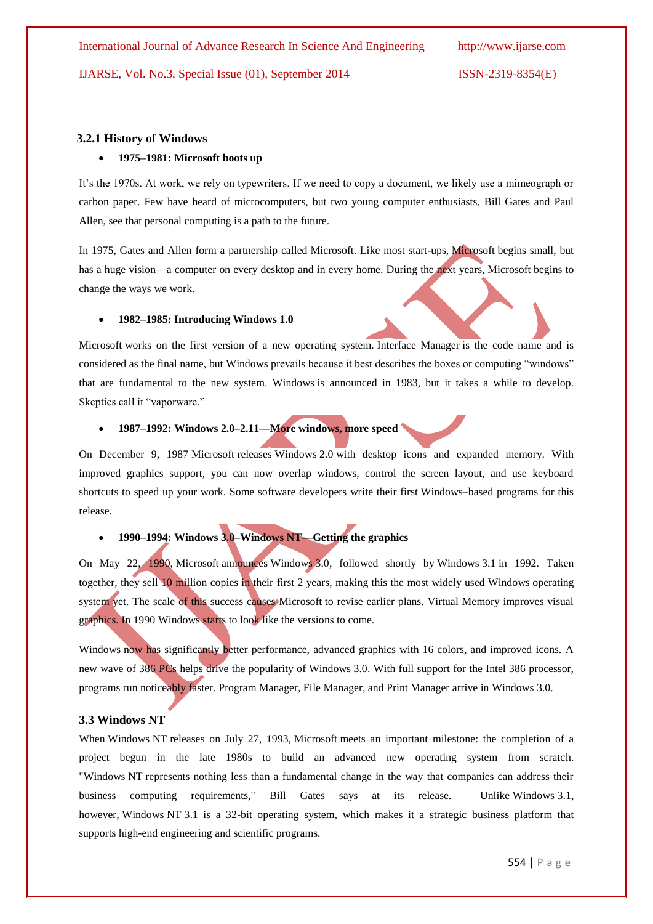#### **3.2.1 History of Windows**

#### **1975–1981: Microsoft boots up**

It's the 1970s. At work, we rely on typewriters. If we need to copy a document, we likely use a mimeograph or carbon paper. Few have heard of microcomputers, but two young computer enthusiasts, Bill Gates and Paul Allen, see that personal computing is a path to the future.

In 1975, Gates and Allen form a partnership called Microsoft. Like most start-ups, Microsoft begins small, but has a huge vision—a computer on every desktop and in every home. During the next years, Microsoft begins to change the ways we work.

#### **1982–1985: Introducing Windows 1.0**

Microsoft works on the first version of a new operating system. Interface Manager is the code name and is considered as the final name, but Windows prevails because it best describes the boxes or computing "windows" that are fundamental to the new system. Windows is announced in 1983, but it takes a while to develop. Skeptics call it "vaporware."

#### **1987–1992: Windows 2.0–2.11—More windows, more speed**

On December 9, 1987 Microsoft releases Windows 2.0 with desktop icons and expanded memory. With improved graphics support, you can now overlap windows, control the screen layout, and use keyboard shortcuts to speed up your work. Some software developers write their first Windows–based programs for this release.

# **1990–1994: Windows 3.0–Windows NT—Getting the graphics**

On May 22, 1990, Microsoft announces Windows 3.0, followed shortly by Windows 3.1 in 1992. Taken together, they sell 10 million copies in their first 2 years, making this the most widely used Windows operating system yet. The scale of this success causes Microsoft to revise earlier plans. Virtual Memory improves visual graphics. In 1990 Windows starts to look like the versions to come.

Windows now has significantly better performance, advanced graphics with 16 colors, and improved icons. A new wave of 386 PCs helps drive the popularity of Windows 3.0. With full support for the Intel 386 processor, programs run noticeably faster. Program Manager, File Manager, and Print Manager arrive in Windows 3.0.

#### **3.3 Windows NT**

When Windows NT releases on July 27, 1993, Microsoft meets an important milestone: the completion of a project begun in the late 1980s to build an advanced new operating system from scratch. "Windows NT represents nothing less than a fundamental change in the way that companies can address their business computing requirements," Bill Gates says at its release. Unlike Windows 3.1, however, Windows NT 3.1 is a 32-bit operating system, which makes it a strategic business platform that supports high-end engineering and scientific programs.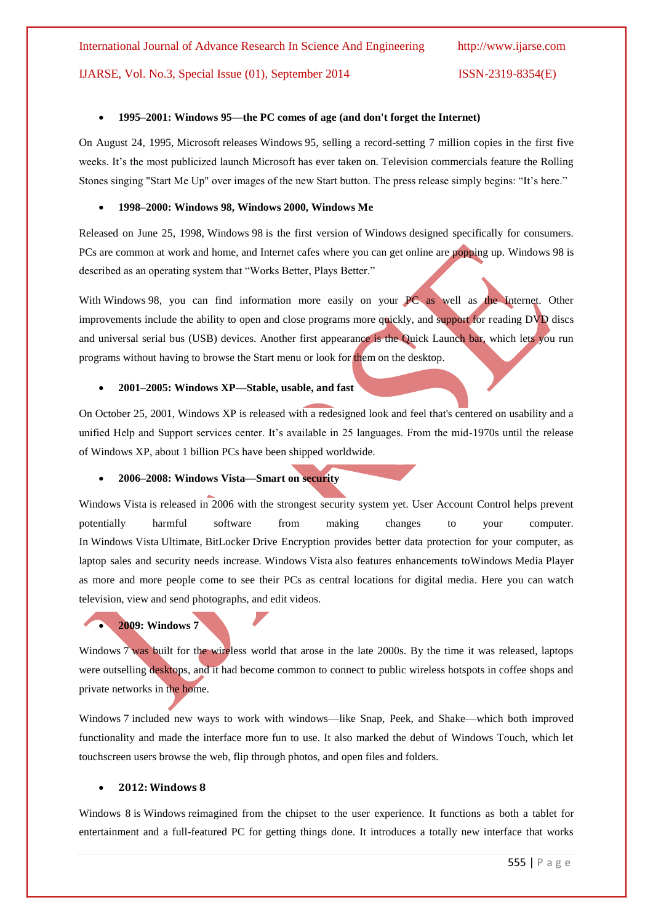#### **1995–2001: Windows 95—the PC comes of age (and don't forget the Internet)**

On August 24, 1995, Microsoft releases Windows 95, selling a record-setting 7 million copies in the first five weeks. It's the most publicized launch Microsoft has ever taken on. Television commercials feature the Rolling Stones singing "Start Me Up" over images of the new Start button. The press release simply begins: "It's here."

#### **1998–2000: Windows 98, Windows 2000, Windows Me**

Released on June 25, 1998, Windows 98 is the first version of Windows designed specifically for consumers. PCs are common at work and home, and Internet cafes where you can get online are popping up. Windows 98 is described as an operating system that "Works Better, Plays Better."

With Windows 98, you can find information more easily on your PC as well as the Internet. Other improvements include the ability to open and close programs more quickly, and support for reading DVD discs and universal serial bus (USB) devices. Another first appearance is the Quick Launch bar, which lets you run programs without having to browse the Start menu or look for them on the desktop.

#### **2001–2005: Windows XP—Stable, usable, and fast**

On October 25, 2001, Windows XP is released with a redesigned look and feel that's centered on usability and a unified Help and Support services center. It's available in 25 languages. From the mid-1970s until the release of Windows XP, about 1 billion PCs have been shipped worldwide.

#### **2006–2008: Windows Vista—Smart on security**

Windows Vista is released in 2006 with the strongest security system yet. User Account Control helps prevent potentially harmful software from making changes to your computer. In Windows Vista Ultimate, BitLocker Drive Encryption provides better data protection for your computer, as laptop sales and security needs increase. Windows Vista also features enhancements toWindows Media Player as more and more people come to see their PCs as central locations for digital media. Here you can watch television, view and send photographs, and edit videos.

#### **2009: Windows 7**

Windows 7 was built for the wireless world that arose in the late 2000s. By the time it was released, laptops were outselling desktops, and it had become common to connect to public wireless hotspots in coffee shops and private networks in the home.

Windows 7 included new ways to work with windows—like Snap, Peek, and Shake—which both improved functionality and made the interface more fun to use. It also marked the debut of Windows Touch, which let touchscreen users browse the web, flip through photos, and open files and folders.

#### **2012: Windows 8**

Windows 8 is Windows reimagined from the chipset to the user experience. It functions as both a tablet for entertainment and a full-featured PC for getting things done. It introduces a totally new interface that works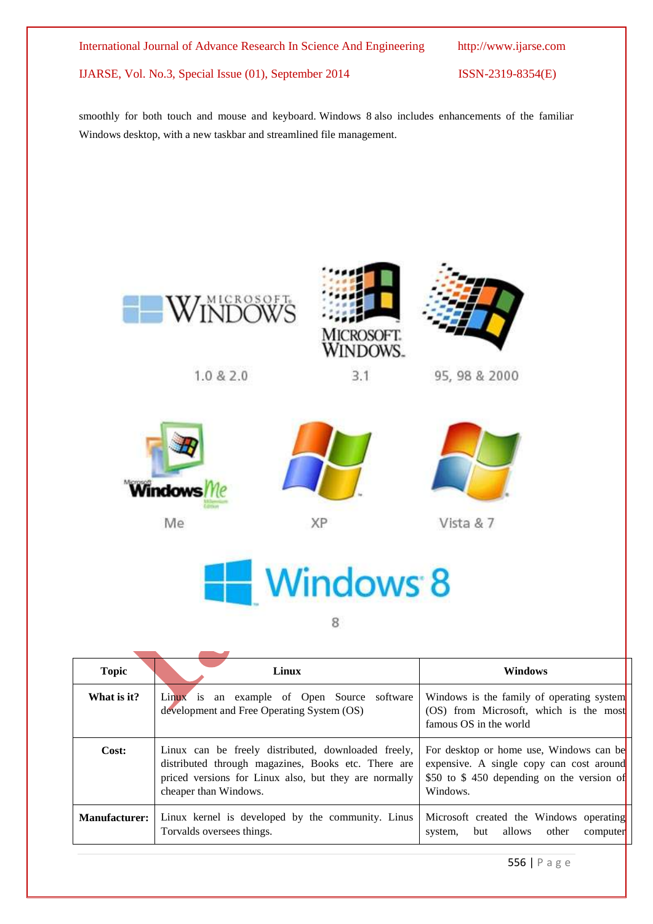smoothly for both touch and mouse and keyboard. Windows 8 also includes enhancements of the familiar Windows desktop, with a new taskbar and streamlined file management.



 $1.0 & 2.0$ 



 $3.1$ 



95, 98 & 2000



Me



XP



Vista & 7



8

| <b>Topic</b>         | Linux                                                                                                                                                                                        | <b>Windows</b>                                                                                                                               |
|----------------------|----------------------------------------------------------------------------------------------------------------------------------------------------------------------------------------------|----------------------------------------------------------------------------------------------------------------------------------------------|
| What is it?          | Linux is an example of Open Source software<br>development and Free Operating System (OS)                                                                                                    | Windows is the family of operating system<br>$(OS)$ from Microsoft, which is the most<br>famous OS in the world                              |
| Cost:                | Linux can be freely distributed, downloaded freely,<br>distributed through magazines, Books etc. There are<br>priced versions for Linux also, but they are normally<br>cheaper than Windows. | For desktop or home use, Windows can be<br>expensive. A single copy can cost around<br>\$50 to \$450 depending on the version of<br>Windows. |
| <b>Manufacturer:</b> | Linux kernel is developed by the community. Linus<br>Torvalds oversees things.                                                                                                               | Microsoft created the Windows operating<br>but allows other<br>computer<br>system.                                                           |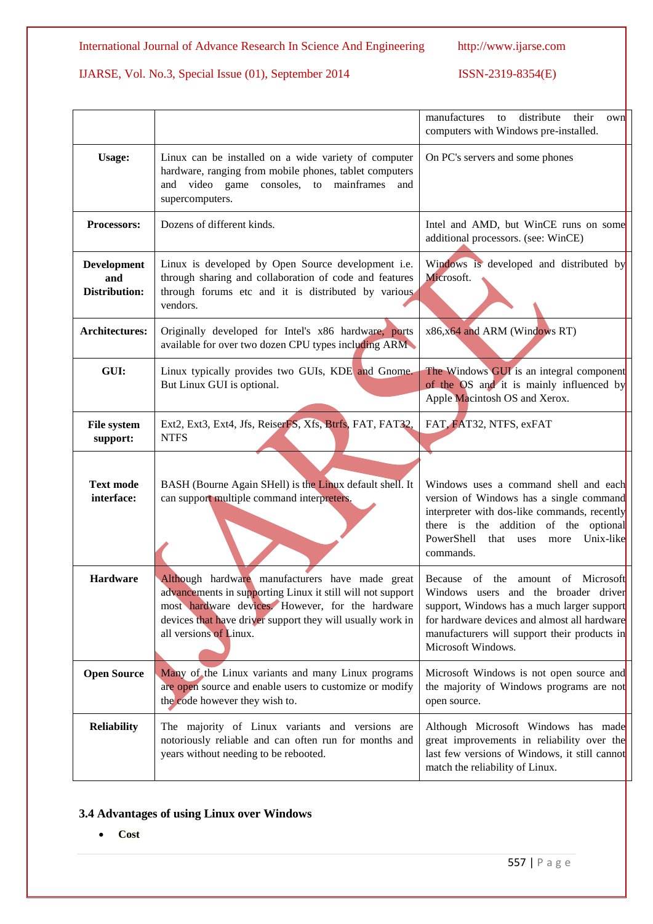|                                            |                                                                                                                                                                                                                                                           | their<br>manufactures<br>distribute<br>to<br>own<br>computers with Windows pre-installed.                                                                                                                                                            |
|--------------------------------------------|-----------------------------------------------------------------------------------------------------------------------------------------------------------------------------------------------------------------------------------------------------------|------------------------------------------------------------------------------------------------------------------------------------------------------------------------------------------------------------------------------------------------------|
| <b>Usage:</b>                              | Linux can be installed on a wide variety of computer<br>hardware, ranging from mobile phones, tablet computers<br>and video game consoles, to mainframes<br>and<br>supercomputers.                                                                        | On PC's servers and some phones                                                                                                                                                                                                                      |
| Processors:                                | Dozens of different kinds.                                                                                                                                                                                                                                | Intel and AMD, but WinCE runs on some<br>additional processors. (see: WinCE)                                                                                                                                                                         |
| Development<br>and<br><b>Distribution:</b> | Linux is developed by Open Source development i.e.<br>through sharing and collaboration of code and features<br>through forums etc and it is distributed by various<br>vendors.                                                                           | Windows is developed and distributed by<br>Microsoft.                                                                                                                                                                                                |
| <b>Architectures:</b>                      | Originally developed for Intel's x86 hardware, ports<br>available for over two dozen CPU types including ARM                                                                                                                                              | x86,x64 and ARM (Windows RT)                                                                                                                                                                                                                         |
| GUI:                                       | Linux typically provides two GUIs, KDE and Gnome.<br>But Linux GUI is optional.                                                                                                                                                                           | The Windows GUI is an integral component<br>of the OS and it is mainly influenced by<br>Apple Macintosh OS and Xerox.                                                                                                                                |
| <b>File system</b><br>support:             | Ext2, Ext3, Ext4, Jfs, ReiserFS, Xfs, Btrfs, FAT, FAT32,<br><b>NTFS</b>                                                                                                                                                                                   | FAT, FAT32, NTFS, exFAT                                                                                                                                                                                                                              |
| <b>Text mode</b><br>interface:             | BASH (Bourne Again SHell) is the Linux default shell. It<br>can support multiple command interpreters.                                                                                                                                                    | Windows uses a command shell and each<br>version of Windows has a single command<br>interpreter with dos-like commands, recently<br>there is the addition of the optional<br>PowerShell<br>that uses<br>Unix-like<br>more<br>commands.               |
| <b>Hardware</b>                            | Although hardware manufacturers have made great<br>advancements in supporting Linux it still will not support<br>most hardware devices. However, for the hardware<br>devices that have driver support they will usually work in<br>all versions of Linux. | amount of Microsoft<br>of the<br>Because<br>Windows users and the broader driver<br>support, Windows has a much larger support<br>for hardware devices and almost all hardware<br>manufacturers will support their products in<br>Microsoft Windows. |
| <b>Open Source</b>                         | Many of the Linux variants and many Linux programs<br>are open source and enable users to customize or modify<br>the code however they wish to.                                                                                                           | Microsoft Windows is not open source and<br>the majority of Windows programs are not<br>open source.                                                                                                                                                 |
| <b>Reliability</b>                         | The majority of Linux variants and versions are<br>notoriously reliable and can often run for months and<br>years without needing to be rebooted.                                                                                                         | Although Microsoft Windows has made<br>great improvements in reliability over the<br>last few versions of Windows, it still cannot<br>match the reliability of Linux.                                                                                |

# **3.4 Advantages of using Linux over Windows**

**Cost**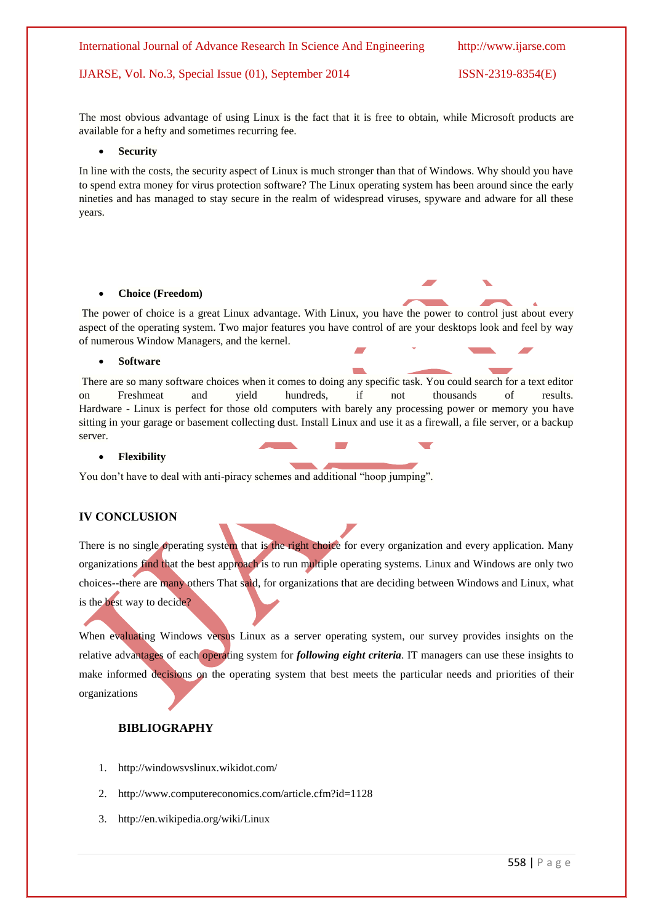The most obvious advantage of using Linux is the fact that it is free to obtain, while Microsoft products are available for a hefty and sometimes recurring fee.

#### **Security**

In line with the costs, the security aspect of Linux is much stronger than that of Windows. Why should you have to spend extra money for virus protection software? The Linux operating system has been around since the early nineties and has managed to stay secure in the realm of widespread viruses, spyware and adware for all these years.

#### **Choice (Freedom)**

The power of choice is a great Linux advantage. With Linux, you have the power to control just about every aspect of the operating system. Two major features you have control of are your desktops look and feel by way of numerous Window Managers, and the kernel.

#### **Software**

There are so many software choices when it comes to doing any specific task. You could search for a text editor on Freshmeat and yield hundreds, if not thousands of results. Hardware - Linux is perfect for those old computers with barely any processing power or memory you have sitting in your garage or basement collecting dust. Install Linux and use it as a firewall, a file server, or a backup server.

#### **Flexibility**

You don't have to deal with anti-piracy schemes and additional "hoop jumping".

#### **IV CONCLUSION**

There is no single operating system that is the right choice for every organization and every application. Many organizations find that the best approach is to run multiple operating systems. Linux and Windows are only two choices--there are many others That said, for organizations that are deciding between Windows and Linux, what is the best way to decide?

When evaluating Windows versus Linux as a server operating system, our survey provides insights on the relative advantages of each operating system for *following eight criteria*. IT managers can use these insights to make informed decisions on the operating system that best meets the particular needs and priorities of their organizations

# **BIBLIOGRAPHY**

- 1. <http://windowsvslinux.wikidot.com/>
- 2. <http://www.computereconomics.com/article.cfm?id=1128>
- 3. <http://en.wikipedia.org/wiki/Linux>